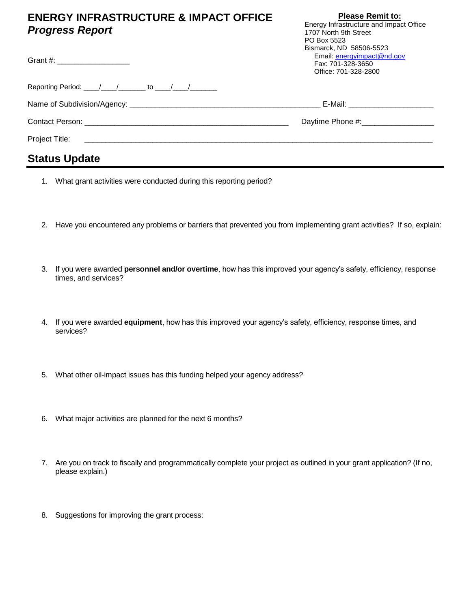## **ENERGY INFRASTRUCTURE & IMPACT OFFICE**  *Progress Report*

**Please Remit to:** Energy Infrastructure and Impact Office

| <b>Progress Report</b>                                   | 1707 North 9th Street                                                                              |
|----------------------------------------------------------|----------------------------------------------------------------------------------------------------|
|                                                          | PO Box 5523                                                                                        |
| Grant #: _____________________                           | Bismarck, ND 58506-5523<br>Email: energyimpact@nd.gov<br>Fax: 701-328-3650<br>Office: 701-328-2800 |
| Reporting Period: ____/____/_______ to ____/____/_______ |                                                                                                    |
|                                                          | E-Mail: _______________________                                                                    |
|                                                          |                                                                                                    |
|                                                          |                                                                                                    |
| <b>Status Update</b>                                     |                                                                                                    |

- 1. What grant activities were conducted during this reporting period?
- 2. Have you encountered any problems or barriers that prevented you from implementing grant activities? If so, explain:
- 3. If you were awarded **personnel and/or overtime**, how has this improved your agency's safety, efficiency, response times, and services?
- 4. If you were awarded **equipment**, how has this improved your agency's safety, efficiency, response times, and services?
- 5. What other oil-impact issues has this funding helped your agency address?
- 6. What major activities are planned for the next 6 months?
- 7. Are you on track to fiscally and programmatically complete your project as outlined in your grant application? (If no, please explain.)
- 8. Suggestions for improving the grant process: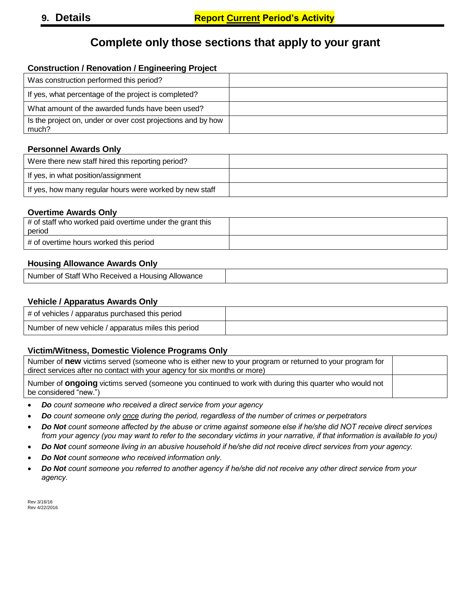# **Complete only those sections that apply to your grant**

#### **Construction / Renovation / Engineering Project**

| Was construction performed this period?                               |  |
|-----------------------------------------------------------------------|--|
| If yes, what percentage of the project is completed?                  |  |
| What amount of the awarded funds have been used?                      |  |
| Is the project on, under or over cost projections and by how<br>much? |  |

#### **Personnel Awards Only**

| Were there new staff hired this reporting period?       |  |
|---------------------------------------------------------|--|
| If yes, in what position/assignment                     |  |
| If yes, how many regular hours were worked by new staff |  |

#### **Overtime Awards Only**

| $\#$ of staff who worked paid overtime under the grant this<br>period |  |
|-----------------------------------------------------------------------|--|
| # of overtime hours worked this period                                |  |

#### **Housing Allowance Awards Only**

| Number of Staff Who Received a Housing Allowance |  |
|--------------------------------------------------|--|
|--------------------------------------------------|--|

#### **Vehicle / Apparatus Awards Only**

| # of vehicles / apparatus purchased this period     |  |
|-----------------------------------------------------|--|
| Number of new vehicle / apparatus miles this period |  |

#### **Victim/Witness, Domestic Violence Programs Only**

| Number of new victims served (someone who is either new to your program or returned to your program for                                |  |
|----------------------------------------------------------------------------------------------------------------------------------------|--|
| direct services after no contact with your agency for six months or more)                                                              |  |
| Number of <b>ongoing</b> victims served (someone you continued to work with during this quarter who would not<br>be considered "new.") |  |

- *Do count someone who received a direct service from your agency*
- *Do count someone only once during the period, regardless of the number of crimes or perpetrators*
- *Do Not count someone affected by the abuse or crime against someone else if he/she did NOT receive direct services from your agency (you may want to refer to the secondary victims in your narrative, if that information is available to you)*
- *Do Not count someone living in an abusive household if he/she did not receive direct services from your agency.*
- *Do Not count someone who received information only.*
- *Do Not count someone you referred to another agency if he/she did not receive any other direct service from your agency.*

Rev 3/16/16 Rev 4/22/2016